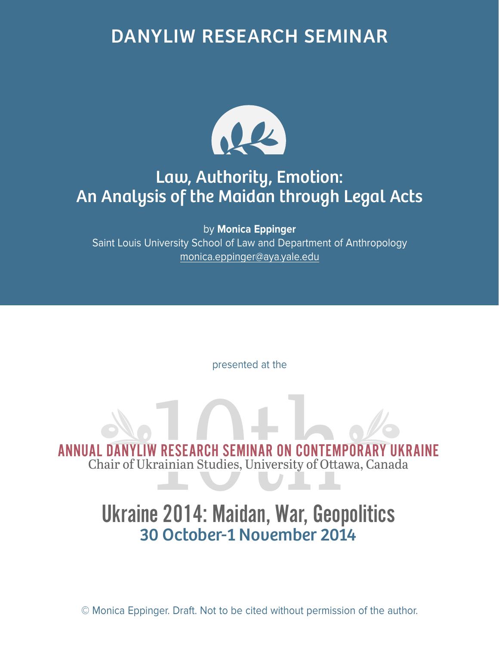# DANYLIW RESEARCH SEMINAR



# Law, Authority, Emotion: An Analysis of the Maidan through Legal Acts

by **Monica Eppinger** Saint Louis University School of Law and Department of Anthropology monica.eppinger@aya.yale.edu

presented at the

ANNUAL DANYLIW RESEARCH SEMINAR ON CONTEMPORARY UKRAINE<br>Chair of Ukrainian Studies, University of Ottawa, Canada Chair of Ukrainian Studies, University of Ottawa, Canada

# Ukraine 2014: Maidan, War, Geopolitics 30 October-1 November 2014

© Monica Eppinger. Draft. Not to be cited without permission of the author.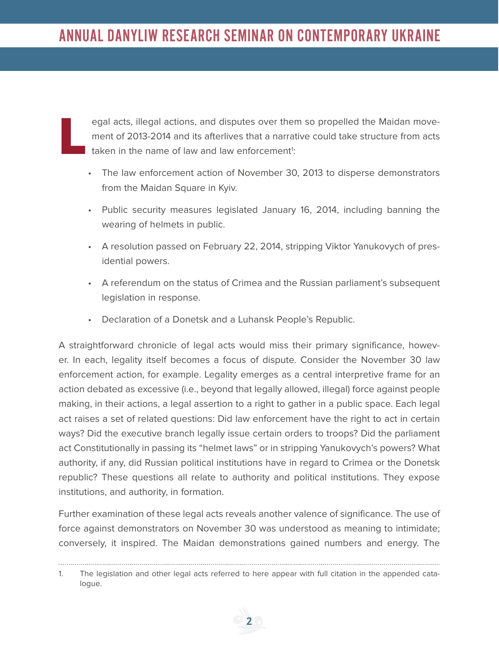**L** egal acts, illegal actions, and disputes over them so propelled the Maidan movement of 2013-2014 and its afterlives that a narrative could take structure from acts taken in the name of law and law enforcement<sup>1</sup>:

- The law enforcement action of November 30, 2013 to disperse demonstrators from the Maidan Square in Kyiv.
- Public security measures legislated January 16, 2014, including banning the wearing of helmets in public.
- A resolution passed on February 22, 2014, stripping Viktor Yanukovych of presidential powers.
- A referendum on the status of Crimea and the Russian parliament's subsequent legislation in response.
- Declaration of a Donetsk and a Luhansk People's Republic.

A straightforward chronicle of legal acts would miss their primary significance, however. In each, legality itself becomes a focus of dispute. Consider the November 30 law enforcement action, for example. Legality emerges as a central interpretive frame for an action debated as excessive (i.e., beyond that legally allowed, illegal) force against people making, in their actions, a legal assertion to a right to gather in a public space. Each legal act raises a set of related questions: Did law enforcement have the right to act in certain ways? Did the executive branch legally issue certain orders to troops? Did the parliament act Constitutionally in passing its "helmet laws" or in stripping Yanukovych's powers? What authority, if any, did Russian political institutions have in regard to Crimea or the Donetsk republic? These questions all relate to authority and political institutions. They expose institutions, and authority, in formation.

Further examination of these legal acts reveals another valence of significance. The use of force against demonstrators on November 30 was understood as meaning to intimidate; conversely, it inspired. The Maidan demonstrations gained numbers and energy. The

<sup>1.</sup> The legislation and other legal acts referred to here appear with full citation in the appended catalogue.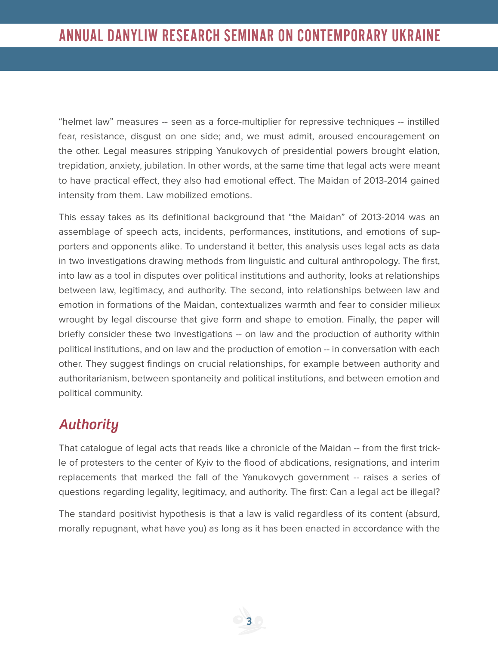"helmet law" measures -- seen as a force-multiplier for repressive techniques -- instilled fear, resistance, disgust on one side; and, we must admit, aroused encouragement on the other. Legal measures stripping Yanukovych of presidential powers brought elation, trepidation, anxiety, jubilation. In other words, at the same time that legal acts were meant to have practical effect, they also had emotional effect. The Maidan of 2013-2014 gained intensity from them. Law mobilized emotions.

This essay takes as its definitional background that "the Maidan" of 2013-2014 was an assemblage of speech acts, incidents, performances, institutions, and emotions of supporters and opponents alike. To understand it better, this analysis uses legal acts as data in two investigations drawing methods from linguistic and cultural anthropology. The first, into law as a tool in disputes over political institutions and authority, looks at relationships between law, legitimacy, and authority. The second, into relationships between law and emotion in formations of the Maidan, contextualizes warmth and fear to consider milieux wrought by legal discourse that give form and shape to emotion. Finally, the paper will briefly consider these two investigations -- on law and the production of authority within political institutions, and on law and the production of emotion -- in conversation with each other. They suggest findings on crucial relationships, for example between authority and authoritarianism, between spontaneity and political institutions, and between emotion and political community.

### *Authority*

That catalogue of legal acts that reads like a chronicle of the Maidan -- from the first trickle of protesters to the center of Kyiv to the flood of abdications, resignations, and interim replacements that marked the fall of the Yanukovych government -- raises a series of questions regarding legality, legitimacy, and authority. The first: Can a legal act be illegal?

The standard positivist hypothesis is that a law is valid regardless of its content (absurd, morally repugnant, what have you) as long as it has been enacted in accordance with the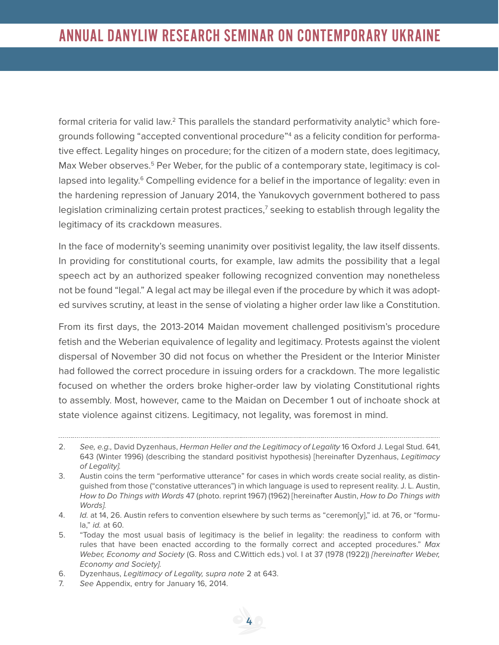formal criteria for valid law.<sup>2</sup> This parallels the standard performativity analytic<sup>3</sup> which foregrounds following "accepted conventional procedure"4 as a felicity condition for performative effect. Legality hinges on procedure; for the citizen of a modern state, does legitimacy, Max Weber observes.<sup>5</sup> Per Weber, for the public of a contemporary state, legitimacy is collapsed into legality.<sup>6</sup> Compelling evidence for a belief in the importance of legality: even in the hardening repression of January 2014, the Yanukovych government bothered to pass legislation criminalizing certain protest practices, $7$  seeking to establish through legality the legitimacy of its crackdown measures.

In the face of modernity's seeming unanimity over positivist legality, the law itself dissents. In providing for constitutional courts, for example, law admits the possibility that a legal speech act by an authorized speaker following recognized convention may nonetheless not be found "legal." A legal act may be illegal even if the procedure by which it was adopted survives scrutiny, at least in the sense of violating a higher order law like a Constitution.

From its first days, the 2013-2014 Maidan movement challenged positivism's procedure fetish and the Weberian equivalence of legality and legitimacy. Protests against the violent dispersal of November 30 did not focus on whether the President or the Interior Minister had followed the correct procedure in issuing orders for a crackdown. The more legalistic focused on whether the orders broke higher-order law by violating Constitutional rights to assembly. Most, however, came to the Maidan on December 1 out of inchoate shock at state violence against citizens. Legitimacy, not legality, was foremost in mind.

<sup>2.</sup> See, e.g., David Dyzenhaus, Herman Heller and the Legitimacy of Legality 16 Oxford J. Legal Stud. 641, 643 (Winter 1996) (describing the standard positivist hypothesis) [hereinafter Dyzenhaus, Legitimacy of Legality].

<sup>3.</sup> Austin coins the term "performative utterance" for cases in which words create social reality, as distinguished from those ("constative utterances") in which language is used to represent reality. J. L. Austin, How to Do Things with Words 47 (photo. reprint 1967) (1962) [hereinafter Austin, How to Do Things with Words].

<sup>4.</sup> Id. at 14, 26. Austin refers to convention elsewhere by such terms as "ceremon[y]," id. at 76, or "formula," id. at 60.

<sup>5.</sup> "Today the most usual basis of legitimacy is the belief in legality: the readiness to conform with rules that have been enacted according to the formally correct and accepted procedures." Max Weber, Economy and Society (G. Ross and C.Wittich eds.) vol. I at 37 (1978 (1922)) [hereinafter Weber, Economy and Society].

<sup>6.</sup> Dyzenhaus, Legitimacy of Legality, supra note 2 at 643.

<sup>7.</sup> See Appendix, entry for January 16, 2014.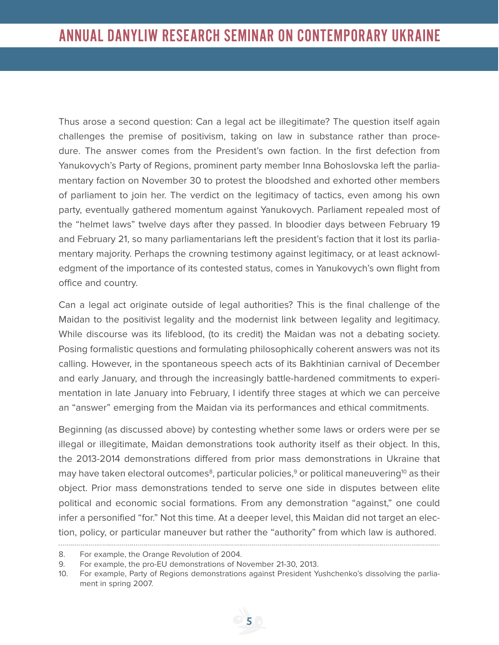Thus arose a second question: Can a legal act be illegitimate? The question itself again challenges the premise of positivism, taking on law in substance rather than procedure. The answer comes from the President's own faction. In the first defection from Yanukovych's Party of Regions, prominent party member Inna Bohoslovska left the parliamentary faction on November 30 to protest the bloodshed and exhorted other members of parliament to join her. The verdict on the legitimacy of tactics, even among his own party, eventually gathered momentum against Yanukovych. Parliament repealed most of the "helmet laws" twelve days after they passed. In bloodier days between February 19 and February 21, so many parliamentarians left the president's faction that it lost its parliamentary majority. Perhaps the crowning testimony against legitimacy, or at least acknowledgment of the importance of its contested status, comes in Yanukovych's own flight from office and country.

Can a legal act originate outside of legal authorities? This is the final challenge of the Maidan to the positivist legality and the modernist link between legality and legitimacy. While discourse was its lifeblood, (to its credit) the Maidan was not a debating society. Posing formalistic questions and formulating philosophically coherent answers was not its calling. However, in the spontaneous speech acts of its Bakhtinian carnival of December and early January, and through the increasingly battle-hardened commitments to experimentation in late January into February, I identify three stages at which we can perceive an "answer" emerging from the Maidan via its performances and ethical commitments.

Beginning (as discussed above) by contesting whether some laws or orders were per se illegal or illegitimate, Maidan demonstrations took authority itself as their object. In this, the 2013-2014 demonstrations differed from prior mass demonstrations in Ukraine that may have taken electoral outcomes<sup>8</sup>, particular policies,<sup>9</sup> or political maneuvering<sup>10</sup> as their object. Prior mass demonstrations tended to serve one side in disputes between elite political and economic social formations. From any demonstration "against," one could infer a personified "for." Not this time. At a deeper level, this Maidan did not target an election, policy, or particular maneuver but rather the "authority" from which law is authored.

<sup>8.</sup> For example, the Orange Revolution of 2004.

<sup>9.</sup> For example, the pro-EU demonstrations of November 21-30, 2013.

<sup>10.</sup> For example, Party of Regions demonstrations against President Yushchenko's dissolving the parliament in spring 2007.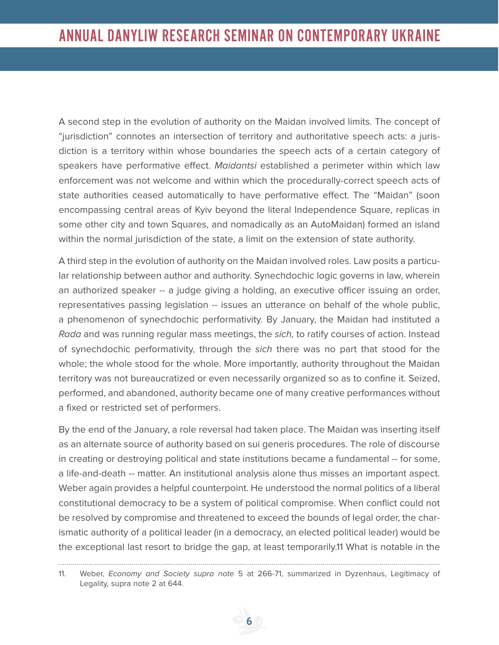A second step in the evolution of authority on the Maidan involved limits. The concept of "jurisdiction" connotes an intersection of territory and authoritative speech acts: a jurisdiction is a territory within whose boundaries the speech acts of a certain category of speakers have performative effect. Maidantsi established a perimeter within which law enforcement was not welcome and within which the procedurally-correct speech acts of state authorities ceased automatically to have performative effect. The "Maidan" (soon encompassing central areas of Kyiv beyond the literal Independence Square, replicas in some other city and town Squares, and nomadically as an AutoMaidan) formed an island within the normal jurisdiction of the state, a limit on the extension of state authority.

A third step in the evolution of authority on the Maidan involved roles. Law posits a particular relationship between author and authority. Synechdochic logic governs in law, wherein an authorized speaker -- a judge giving a holding, an executive officer issuing an order, representatives passing legislation -- issues an utterance on behalf of the whole public, a phenomenon of synechdochic performativity. By January, the Maidan had instituted a Rada and was running regular mass meetings, the sich, to ratify courses of action. Instead of synechdochic performativity, through the sich there was no part that stood for the whole; the whole stood for the whole. More importantly, authority throughout the Maidan territory was not bureaucratized or even necessarily organized so as to confine it. Seized, performed, and abandoned, authority became one of many creative performances without a fixed or restricted set of performers.

By the end of the January, a role reversal had taken place. The Maidan was inserting itself as an alternate source of authority based on sui generis procedures. The role of discourse in creating or destroying political and state institutions became a fundamental -- for some, a life-and-death -- matter. An institutional analysis alone thus misses an important aspect. Weber again provides a helpful counterpoint. He understood the normal politics of a liberal constitutional democracy to be a system of political compromise. When conflict could not be resolved by compromise and threatened to exceed the bounds of legal order, the charismatic authority of a political leader (in a democracy, an elected political leader) would be the exceptional last resort to bridge the gap, at least temporarily.11 What is notable in the

<sup>11.</sup> Weber, Economy and Society supra note 5 at 266-71, summarized in Dyzenhaus, Legitimacy of Legality, supra note 2 at 644.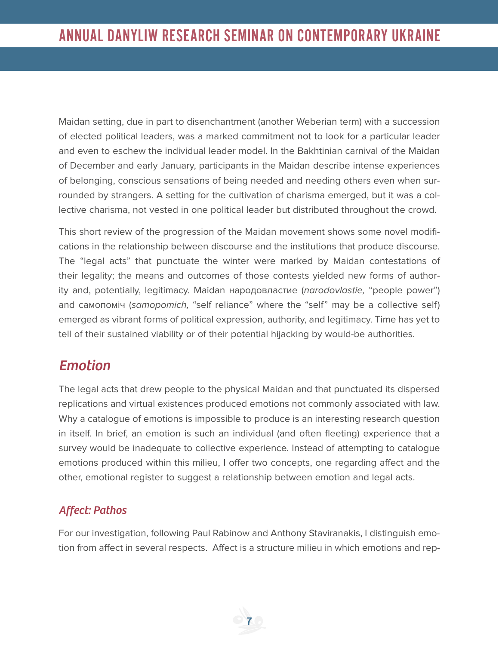Maidan setting, due in part to disenchantment (another Weberian term) with a succession of elected political leaders, was a marked commitment not to look for a particular leader and even to eschew the individual leader model. In the Bakhtinian carnival of the Maidan of December and early January, participants in the Maidan describe intense experiences of belonging, conscious sensations of being needed and needing others even when surrounded by strangers. A setting for the cultivation of charisma emerged, but it was a collective charisma, not vested in one political leader but distributed throughout the crowd.

This short review of the progression of the Maidan movement shows some novel modifications in the relationship between discourse and the institutions that produce discourse. The "legal acts" that punctuate the winter were marked by Maidan contestations of their legality; the means and outcomes of those contests yielded new forms of authority and, potentially, legitimacy. Maidan народовластие (narodovlastie, "people power") and самопоміч (samopomich, "self reliance" where the "self" may be a collective self) emerged as vibrant forms of political expression, authority, and legitimacy. Time has yet to tell of their sustained viability or of their potential hijacking by would-be authorities.

### *Emotion*

The legal acts that drew people to the physical Maidan and that punctuated its dispersed replications and virtual existences produced emotions not commonly associated with law. Why a catalogue of emotions is impossible to produce is an interesting research question in itself. In brief, an emotion is such an individual (and often fleeting) experience that a survey would be inadequate to collective experience. Instead of attempting to catalogue emotions produced within this milieu, I offer two concepts, one regarding affect and the other, emotional register to suggest a relationship between emotion and legal acts.

#### *Affect: Pathos*

For our investigation, following Paul Rabinow and Anthony Staviranakis, I distinguish emotion from affect in several respects. Affect is a structure milieu in which emotions and rep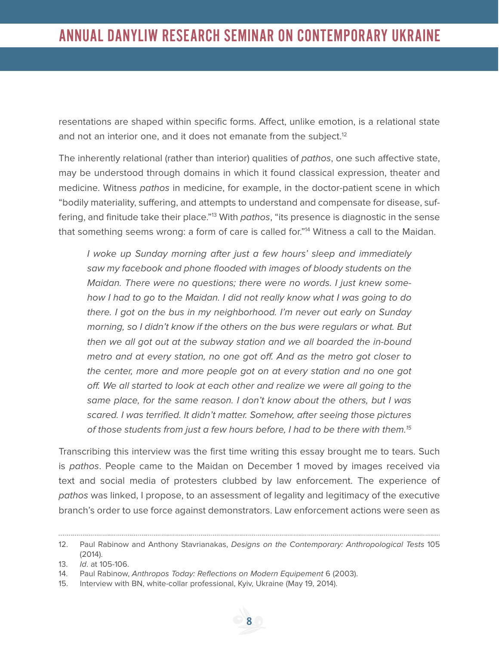resentations are shaped within specific forms. Affect, unlike emotion, is a relational state and not an interior one, and it does not emanate from the subject.<sup>12</sup>

The inherently relational (rather than interior) qualities of pathos, one such affective state, may be understood through domains in which it found classical expression, theater and medicine. Witness pathos in medicine, for example, in the doctor-patient scene in which "bodily materiality, suffering, and attempts to understand and compensate for disease, suffering, and finitude take their place."<sup>13</sup> With pathos, "its presence is diagnostic in the sense that something seems wrong: a form of care is called for."<sup>14</sup> Witness a call to the Maidan.

I woke up Sunday morning after just a few hours' sleep and immediately saw my facebook and phone flooded with images of bloody students on the Maidan. There were no questions; there were no words. I just knew somehow I had to go to the Maidan. I did not really know what I was going to do there. I got on the bus in my neighborhood. I'm never out early on Sunday morning, so I didn't know if the others on the bus were regulars or what. But then we all got out at the subway station and we all boarded the in-bound metro and at every station, no one got off. And as the metro got closer to the center, more and more people got on at every station and no one got off. We all started to look at each other and realize we were all going to the same place, for the same reason. I don't know about the others, but I was scared. I was terrified. It didn't matter. Somehow, after seeing those pictures of those students from just a few hours before, I had to be there with them.<sup>15</sup>

Transcribing this interview was the first time writing this essay brought me to tears. Such is pathos. People came to the Maidan on December 1 moved by images received via text and social media of protesters clubbed by law enforcement. The experience of pathos was linked, I propose, to an assessment of legality and legitimacy of the executive branch's order to use force against demonstrators. Law enforcement actions were seen as

........................

<sup>12.</sup> Paul Rabinow and Anthony Stavrianakas, Designs on the Contemporary: Anthropological Tests 105 (2014).

<sup>13.</sup> Id. at 105-106.

<sup>14.</sup> Paul Rabinow, Anthropos Today: Reflections on Modern Equipement 6 (2003).

<sup>15.</sup> Interview with BN, white-collar professional, Kyiv, Ukraine (May 19, 2014).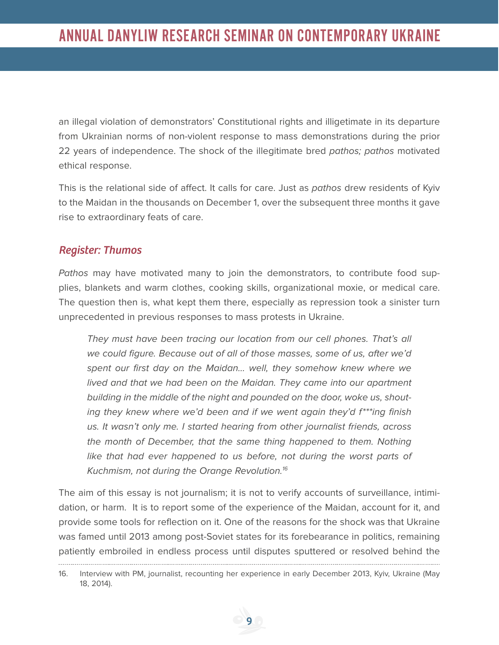an illegal violation of demonstrators' Constitutional rights and illigetimate in its departure from Ukrainian norms of non-violent response to mass demonstrations during the prior 22 years of independence. The shock of the illegitimate bred pathos; pathos motivated ethical response.

This is the relational side of affect. It calls for care. Just as pathos drew residents of Kyiv to the Maidan in the thousands on December 1, over the subsequent three months it gave rise to extraordinary feats of care.

#### *Register: Thumos*

Pathos may have motivated many to join the demonstrators, to contribute food supplies, blankets and warm clothes, cooking skills, organizational moxie, or medical care. The question then is, what kept them there, especially as repression took a sinister turn unprecedented in previous responses to mass protests in Ukraine.

They must have been tracing our location from our cell phones. That's all we could figure. Because out of all of those masses, some of us, after we'd spent our first day on the Maidan... well, they somehow knew where we lived and that we had been on the Maidan. They came into our apartment building in the middle of the night and pounded on the door, woke us, shouting they knew where we'd been and if we went again they'd f\*\*\*ing finish us. It wasn't only me. I started hearing from other journalist friends, across the month of December, that the same thing happened to them. Nothing like that had ever happened to us before, not during the worst parts of Kuchmism, not during the Orange Revolution.<sup>16</sup>

The aim of this essay is not journalism; it is not to verify accounts of surveillance, intimidation, or harm. It is to report some of the experience of the Maidan, account for it, and provide some tools for reflection on it. One of the reasons for the shock was that Ukraine was famed until 2013 among post-Soviet states for its forebearance in politics, remaining patiently embroiled in endless process until disputes sputtered or resolved behind the 

<sup>16.</sup> Interview with PM, journalist, recounting her experience in early December 2013, Kyiv, Ukraine (May 18, 2014).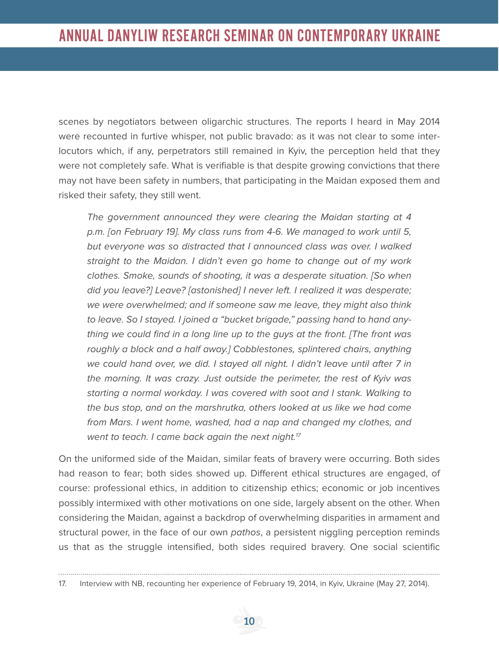scenes by negotiators between oligarchic structures. The reports I heard in May 2014 were recounted in furtive whisper, not public bravado: as it was not clear to some interlocutors which, if any, perpetrators still remained in Kyiv, the perception held that they were not completely safe. What is verifiable is that despite growing convictions that there may not have been safety in numbers, that participating in the Maidan exposed them and risked their safety, they still went.

The government announced they were clearing the Maidan starting at 4 p.m. [on February 19]. My class runs from 4-6. We managed to work until 5, but everyone was so distracted that I announced class was over. I walked straight to the Maidan. I didn't even go home to change out of my work clothes. Smoke, sounds of shooting, it was a desperate situation. [So when did you leave?] Leave? [astonished] I never left. I realized it was desperate; we were overwhelmed; and if someone saw me leave, they might also think to leave. So I stayed. I joined a "bucket brigade," passing hand to hand anything we could find in a long line up to the guys at the front. [The front was roughly a block and a half away.] Cobblestones, splintered chairs, anything we could hand over, we did. I stayed all night. I didn't leave until after 7 in the morning. It was crazy. Just outside the perimeter, the rest of Kyiv was starting a normal workday. I was covered with soot and I stank. Walking to the bus stop, and on the marshrutka, others looked at us like we had come from Mars. I went home, washed, had a nap and changed my clothes, and went to teach. I came back again the next night. $17$ 

On the uniformed side of the Maidan, similar feats of bravery were occurring. Both sides had reason to fear; both sides showed up. Different ethical structures are engaged, of course: professional ethics, in addition to citizenship ethics; economic or job incentives possibly intermixed with other motivations on one side, largely absent on the other. When considering the Maidan, against a backdrop of overwhelming disparities in armament and structural power, in the face of our own pathos, a persistent niggling perception reminds us that as the struggle intensified, both sides required bravery. One social scientific

<sup>17.</sup> Interview with NB, recounting her experience of February 19, 2014, in Kyiv, Ukraine (May 27, 2014).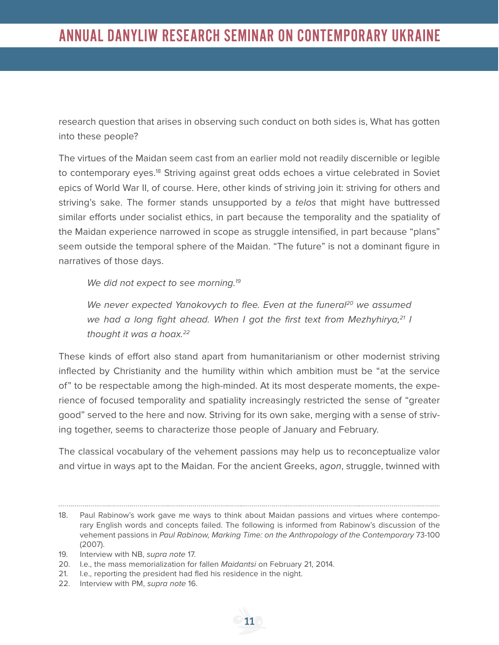research question that arises in observing such conduct on both sides is, What has gotten into these people?

The virtues of the Maidan seem cast from an earlier mold not readily discernible or legible to contemporary eyes.<sup>18</sup> Striving against great odds echoes a virtue celebrated in Soviet epics of World War II, of course. Here, other kinds of striving join it: striving for others and striving's sake. The former stands unsupported by a telos that might have buttressed similar efforts under socialist ethics, in part because the temporality and the spatiality of the Maidan experience narrowed in scope as struggle intensified, in part because "plans" seem outside the temporal sphere of the Maidan. "The future" is not a dominant figure in narratives of those days.

We did not expect to see morning.<sup>19</sup>

We never expected Yanokovych to flee. Even at the funeral<sup>20</sup> we assumed we had a long fight ahead. When I got the first text from Mezhyhirya,  $2^1$  I thought it was a hoax. $22$ 

These kinds of effort also stand apart from humanitarianism or other modernist striving inflected by Christianity and the humility within which ambition must be "at the service of" to be respectable among the high-minded. At its most desperate moments, the experience of focused temporality and spatiality increasingly restricted the sense of "greater good" served to the here and now. Striving for its own sake, merging with a sense of striving together, seems to characterize those people of January and February.

The classical vocabulary of the vehement passions may help us to reconceptualize valor and virtue in ways apt to the Maidan. For the ancient Greeks, agon, struggle, twinned with

- 21. I.e., reporting the president had fled his residence in the night.
- 22. Interview with PM, supra note 16.

<sup>18.</sup> Paul Rabinow's work gave me ways to think about Maidan passions and virtues where contemporary English words and concepts failed. The following is informed from Rabinow's discussion of the vehement passions in Paul Rabinow, Marking Time: on the Anthropology of the Contemporary 73-100 (2007).

<sup>19.</sup> Interview with NB, supra note 17.

<sup>20.</sup> I.e., the mass memorialization for fallen Maidantsi on February 21, 2014.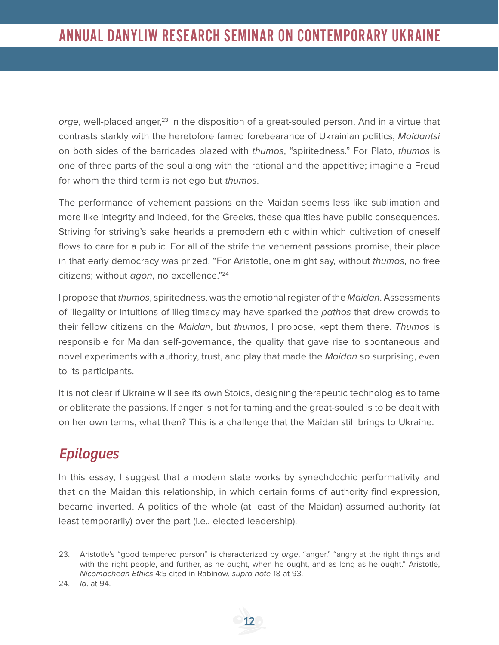orge, well-placed anger,<sup>23</sup> in the disposition of a great-souled person. And in a virtue that contrasts starkly with the heretofore famed forebearance of Ukrainian politics, Maidantsi on both sides of the barricades blazed with *thumos*, "spiritedness." For Plato, *thumos* is one of three parts of the soul along with the rational and the appetitive; imagine a Freud for whom the third term is not ego but *thumos*.

The performance of vehement passions on the Maidan seems less like sublimation and more like integrity and indeed, for the Greeks, these qualities have public consequences. Striving for striving's sake hearlds a premodern ethic within which cultivation of oneself flows to care for a public. For all of the strife the vehement passions promise, their place in that early democracy was prized. "For Aristotle, one might say, without thumos, no free citizens; without agon, no excellence."24

I propose that *thumos*, spiritedness, was the emotional register of the *Maidan*. Assessments of illegality or intuitions of illegitimacy may have sparked the *pathos* that drew crowds to their fellow citizens on the *Maidan*, but thumos, I propose, kept them there. Thumos is responsible for Maidan self-governance, the quality that gave rise to spontaneous and novel experiments with authority, trust, and play that made the *Maidan* so surprising, even to its participants.

It is not clear if Ukraine will see its own Stoics, designing therapeutic technologies to tame or obliterate the passions. If anger is not for taming and the great-souled is to be dealt with on her own terms, what then? This is a challenge that the Maidan still brings to Ukraine.

## *Epilogues*

In this essay, I suggest that a modern state works by synechdochic performativity and that on the Maidan this relationship, in which certain forms of authority find expression, became inverted. A politics of the whole (at least of the Maidan) assumed authority (at least temporarily) over the part (i.e., elected leadership).

24. Id. at 94.

<sup>23.</sup> Aristotle's "good tempered person" is characterized by *orge*, "anger," "angry at the right things and with the right people, and further, as he ought, when he ought, and as long as he ought." Aristotle, Nicomachean Ethics 4:5 cited in Rabinow, supra note 18 at 93.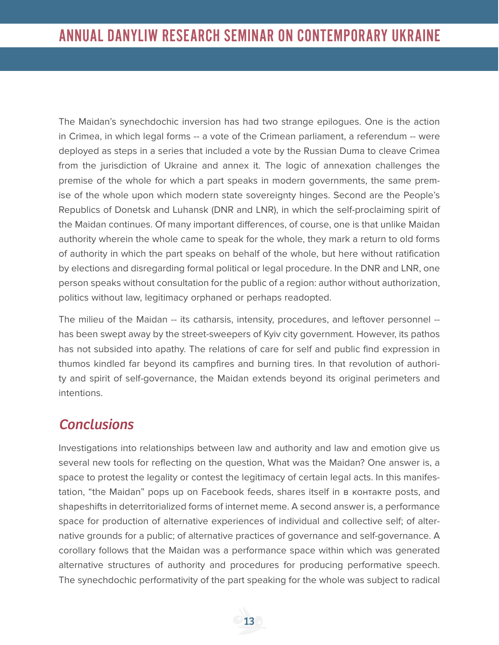The Maidan's synechdochic inversion has had two strange epilogues. One is the action in Crimea, in which legal forms -- a vote of the Crimean parliament, a referendum -- were deployed as steps in a series that included a vote by the Russian Duma to cleave Crimea from the jurisdiction of Ukraine and annex it. The logic of annexation challenges the premise of the whole for which a part speaks in modern governments, the same premise of the whole upon which modern state sovereignty hinges. Second are the People's Republics of Donetsk and Luhansk (DNR and LNR), in which the self-proclaiming spirit of the Maidan continues. Of many important differences, of course, one is that unlike Maidan authority wherein the whole came to speak for the whole, they mark a return to old forms of authority in which the part speaks on behalf of the whole, but here without ratification by elections and disregarding formal political or legal procedure. In the DNR and LNR, one person speaks without consultation for the public of a region: author without authorization, politics without law, legitimacy orphaned or perhaps readopted.

The milieu of the Maidan -- its catharsis, intensity, procedures, and leftover personnel - has been swept away by the street-sweepers of Kyiv city government. However, its pathos has not subsided into apathy. The relations of care for self and public find expression in thumos kindled far beyond its campfires and burning tires. In that revolution of authority and spirit of self-governance, the Maidan extends beyond its original perimeters and intentions.

### *Conclusions*

Investigations into relationships between law and authority and law and emotion give us several new tools for reflecting on the question, What was the Maidan? One answer is, a space to protest the legality or contest the legitimacy of certain legal acts. In this manifestation, "the Maidan" pops up on Facebook feeds, shares itself in в контакте posts, and shapeshifts in deterritorialized forms of internet meme. A second answer is, a performance space for production of alternative experiences of individual and collective self; of alternative grounds for a public; of alternative practices of governance and self-governance. A corollary follows that the Maidan was a performance space within which was generated alternative structures of authority and procedures for producing performative speech. The synechdochic performativity of the part speaking for the whole was subject to radical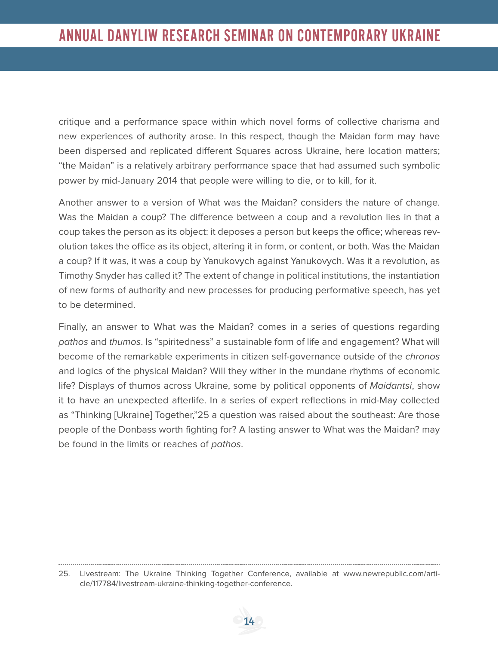critique and a performance space within which novel forms of collective charisma and new experiences of authority arose. In this respect, though the Maidan form may have been dispersed and replicated different Squares across Ukraine, here location matters; "the Maidan" is a relatively arbitrary performance space that had assumed such symbolic power by mid-January 2014 that people were willing to die, or to kill, for it.

Another answer to a version of What was the Maidan? considers the nature of change. Was the Maidan a coup? The difference between a coup and a revolution lies in that a coup takes the person as its object: it deposes a person but keeps the office; whereas revolution takes the office as its object, altering it in form, or content, or both. Was the Maidan a coup? If it was, it was a coup by Yanukovych against Yanukovych. Was it a revolution, as Timothy Snyder has called it? The extent of change in political institutions, the instantiation of new forms of authority and new processes for producing performative speech, has yet to be determined.

Finally, an answer to What was the Maidan? comes in a series of questions regarding pathos and thumos. Is "spiritedness" a sustainable form of life and engagement? What will become of the remarkable experiments in citizen self-governance outside of the chronos and logics of the physical Maidan? Will they wither in the mundane rhythms of economic life? Displays of thumos across Ukraine, some by political opponents of Maidantsi, show it to have an unexpected afterlife. In a series of expert reflections in mid-May collected as "Thinking [Ukraine] Together,"25 a question was raised about the southeast: Are those people of the Donbass worth fighting for? A lasting answer to What was the Maidan? may be found in the limits or reaches of pathos.

<sup>25.</sup> Livestream: The Ukraine Thinking Together Conference, available at www.newrepublic.com/article/117784/livestream-ukraine-thinking-together-conference.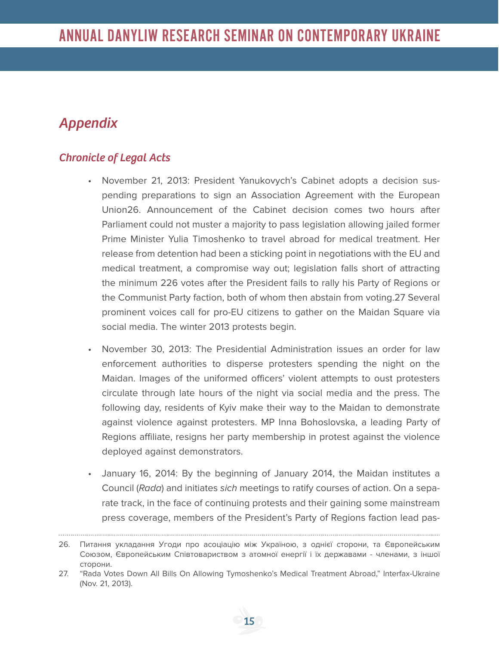## *Appendix*

#### *Chronicle of Legal Acts*

- November 21, 2013: President Yanukovych's Cabinet adopts a decision suspending preparations to sign an Association Agreement with the European Union26. Announcement of the Cabinet decision comes two hours after Parliament could not muster a majority to pass legislation allowing jailed former Prime Minister Yulia Timoshenko to travel abroad for medical treatment. Her release from detention had been a sticking point in negotiations with the EU and medical treatment, a compromise way out; legislation falls short of attracting the minimum 226 votes after the President fails to rally his Party of Regions or the Communist Party faction, both of whom then abstain from voting.27 Several prominent voices call for pro-EU citizens to gather on the Maidan Square via social media. The winter 2013 protests begin.
- November 30, 2013: The Presidential Administration issues an order for law enforcement authorities to disperse protesters spending the night on the Maidan. Images of the uniformed officers' violent attempts to oust protesters circulate through late hours of the night via social media and the press. The following day, residents of Kyiv make their way to the Maidan to demonstrate against violence against protesters. MP Inna Bohoslovska, a leading Party of Regions affiliate, resigns her party membership in protest against the violence deployed against demonstrators.
- January 16, 2014: By the beginning of January 2014, the Maidan institutes a Council (Rada) and initiates sich meetings to ratify courses of action. On a separate track, in the face of continuing protests and their gaining some mainstream press coverage, members of the President's Party of Regions faction lead pas-

<sup>26.</sup> Питання укладання Угоди про асоціацію між Україною, з однієї сторони, та Європейським Союзом, Європейським Співтовариством з атомної енергії і їх державами - членами, з іншої сторони.

<sup>27.</sup> "Rada Votes Down All Bills On Allowing Tymoshenko's Medical Treatment Abroad," Interfax-Ukraine (Nov. 21, 2013).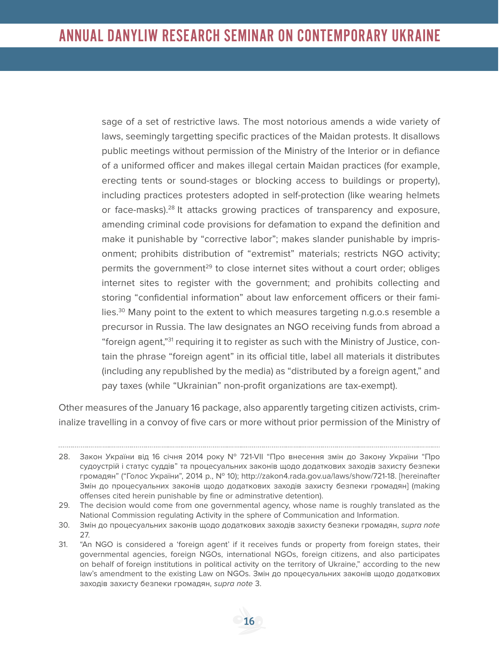sage of a set of restrictive laws. The most notorious amends a wide variety of laws, seemingly targetting specific practices of the Maidan protests. It disallows public meetings without permission of the Ministry of the Interior or in defiance of a uniformed officer and makes illegal certain Maidan practices (for example, erecting tents or sound-stages or blocking access to buildings or property), including practices protesters adopted in self-protection (like wearing helmets or face-masks).28 It attacks growing practices of transparency and exposure, amending criminal code provisions for defamation to expand the definition and make it punishable by "corrective labor"; makes slander punishable by imprisonment; prohibits distribution of "extremist" materials; restricts NGO activity; permits the government<sup>29</sup> to close internet sites without a court order; obliges internet sites to register with the government; and prohibits collecting and storing "confidential information" about law enforcement officers or their families.<sup>30</sup> Many point to the extent to which measures targeting n.g.o.s resemble a precursor in Russia. The law designates an NGO receiving funds from abroad a "foreign agent,"31 requiring it to register as such with the Ministry of Justice, contain the phrase "foreign agent" in its official title, label all materials it distributes (including any republished by the media) as "distributed by a foreign agent," and pay taxes (while "Ukrainian" non-profit organizations are tax-exempt).

Other measures of the January 16 package, also apparently targeting citizen activists, criminalize travelling in a convoy of five cars or more without prior permission of the Ministry of

<sup>28.</sup> Закон України від 16 січня 2014 року № 721-VII "Про внесення змін до Закону України "Про судоустрій і статус суддів" та процесуальних законів щодо додаткових заходів захисту безпеки громадян" ("Голос України", 2014 р., № 10); http://zakon4.rada.gov.ua/laws/show/721-18. [hereinafter Змін до процесуальних законів щодо додаткових заходів захисту безпеки громадян] (making offenses cited herein punishable by fine or adminstrative detention).

<sup>29.</sup> The decision would come from one governmental agency, whose name is roughly translated as the National Commission regulating Activity in the sphere of Communication and Information.

<sup>30.</sup> Змін до процесуальних законів щодо додаткових заходів захисту безпеки громадян, supra note 27.

<sup>31.</sup> "An NGO is considered a 'foreign agent' if it receives funds or property from foreign states, their governmental agencies, foreign NGOs, international NGOs, foreign citizens, and also participates on behalf of foreign institutions in political activity on the territory of Ukraine," according to the new law's amendment to the existing Law on NGOs. Змін до процесуальних законів щодо додаткових заходів захисту безпеки громадян, supra note 3.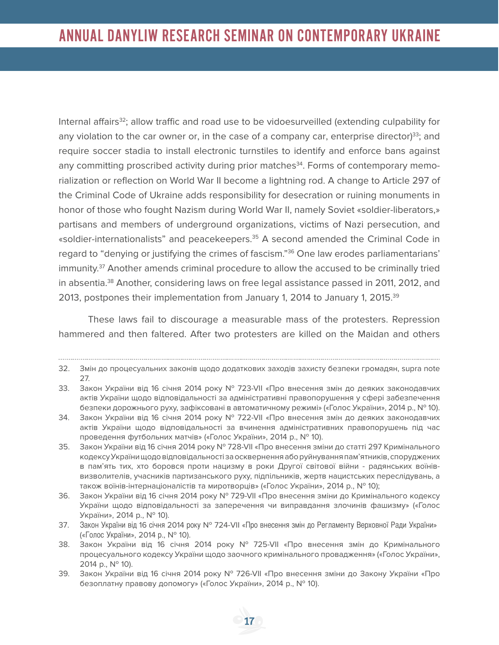Internal affairs<sup>32</sup>; allow traffic and road use to be vidoesurveilled (extending culpability for any violation to the car owner or, in the case of a company car, enterprise director)<sup>33</sup>; and require soccer stadia to install electronic turnstiles to identify and enforce bans against any committing proscribed activity during prior matches<sup>34</sup>. Forms of contemporary memorialization or reflection on World War II become a lightning rod. A change to Article 297 of the Criminal Code of Ukraine adds responsibility for desecration or ruining monuments in honor of those who fought Nazism during World War II, namely Soviet «soldier-liberators,» partisans and members of underground organizations, victims of Nazi persecution, and «soldier-internationalists" and peacekeepers.<sup>35</sup> A second amended the Criminal Code in regard to "denying or justifying the crimes of fascism."36 One law erodes parliamentarians' immunity.<sup>37</sup> Another amends criminal procedure to allow the accused to be criminally tried in absentia.<sup>38</sup> Another, considering laws on free legal assistance passed in 2011, 2012, and 2013, postpones their implementation from January 1, 2014 to January 1, 2015.<sup>39</sup>

These laws fail to discourage a measurable mass of the protesters. Repression hammered and then faltered. After two protesters are killed on the Maidan and others

<sup>32.</sup> Змін до процесуальних законів щодо додаткових заходів захисту безпеки громадян, supra note 27.

<sup>33.</sup> Закон України від 16 січня 2014 року № 723-VII «Про внесення змін до деяких законодавчих актів України щодо відповідальності за адміністративні правопорушення у сфері забезпечення безпеки дорожнього руху, зафіксовані в автоматичному режимі» («Голос України», 2014 р., № 10).

<sup>34.</sup> Закон України від 16 січня 2014 року № 722-VII «Про внесення змін до деяких законодавчих актів України щодо відповідальності за вчинення адміністративних правопорушень під час проведення футбольних матчів» («Голос України», 2014 р., № 10).

<sup>35.</sup> Закон України від 16 січня 2014 року № 728-VII «Про внесення зміни до статті 297 Кримінального кодексу України щодо відповідальності за осквернення або руйнування пам'ятників, споруджених в пам'ять тих, хто боровся проти нацизму в роки Другої світової війни - радянських воїніввизволителів, учасників партизанського руху, підпільників, жертв нацистських переслідувань, а також воїнів-інтернаціоналістів та миротворців» («Голос України», 2014 р., № 10);

<sup>36.</sup> Закон України від 16 січня 2014 року № 729-VII «Про внесення зміни до Кримінального кодексу України щодо відповідальності за заперечення чи виправдання злочинів фашизму» («Голос України», 2014 р., № 10).

<sup>37.</sup> Закон України від 16 січня 2014 року № 724-VII «Про внесення змін до Регламенту Верховної Ради України» («Голос України», 2014 р., № 10).

<sup>38.</sup> Закон України від 16 січня 2014 року № 725-VII «Про внесення змін до Кримінального процесуального кодексу України щодо заочного кримінального провадження» («Голос України», 2014 р., № 10).

<sup>39.</sup> Закон України від 16 січня 2014 року № 726-VII «Про внесення зміни до Закону України «Про безоплатну правову допомогу» («Голос України», 2014 р., № 10).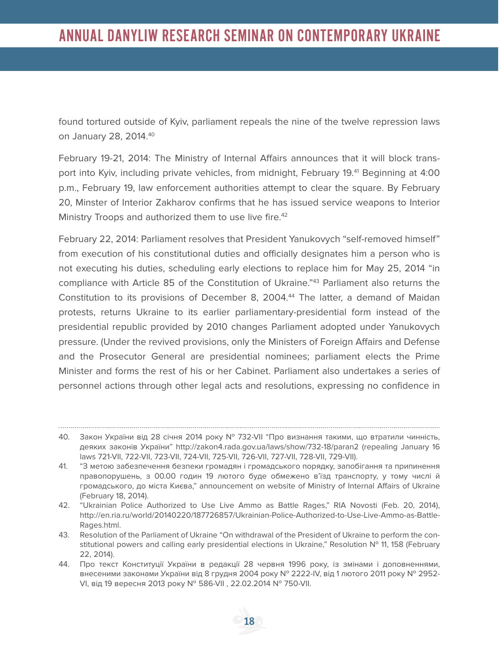found tortured outside of Kyiv, parliament repeals the nine of the twelve repression laws on January 28, 2014.40

February 19-21, 2014: The Ministry of Internal Affairs announces that it will block transport into Kyiv, including private vehicles, from midnight, February 19.<sup>41</sup> Beginning at 4:00 p.m., February 19, law enforcement authorities attempt to clear the square. By February 20, Minster of Interior Zakharov confirms that he has issued service weapons to Interior Ministry Troops and authorized them to use live fire.<sup>42</sup>

February 22, 2014: Parliament resolves that President Yanukovych "self-removed himself" from execution of his constitutional duties and officially designates him a person who is not executing his duties, scheduling early elections to replace him for May 25, 2014 "in compliance with Article 85 of the Constitution of Ukraine."43 Parliament also returns the Constitution to its provisions of December 8, 2004.<sup>44</sup> The latter, a demand of Maidan protests, returns Ukraine to its earlier parliamentary-presidential form instead of the presidential republic provided by 2010 changes Parliament adopted under Yanukovych pressure. (Under the revived provisions, only the Ministers of Foreign Affairs and Defense and the Prosecutor General are presidential nominees; parliament elects the Prime Minister and forms the rest of his or her Cabinet. Parliament also undertakes a series of personnel actions through other legal acts and resolutions, expressing no confidence in

<sup>40.</sup> Закон України від 28 січня 2014 року № 732-VII "Про визнання такими, що втратили чинність, деяких законів України" http://zakon4.rada.gov.ua/laws/show/732-18/paran2 (repealing January 16 laws 721-VII, 722-VII, 723-VII, 724-VII, 725-VII, 726-VII, 727-VII, 728-VII, 729-VII).

<sup>41.</sup> "З метою забезпечення безпеки громадян і громадського порядку, запобігання та припинення правопорушень, з 00.00 годин 19 лютого буде обмежено в'їзд транспорту, у тому числі й громадського, до міста Києва," announcement on website of Ministry of Internal Affairs of Ukraine (February 18, 2014).

<sup>42.</sup> "Ukrainian Police Authorized to Use Live Ammo as Battle Rages," RIA Novosti (Feb. 20, 2014), http://en.ria.ru/world/20140220/187726857/Ukrainian-Police-Authorized-to-Use-Live-Ammo-as-Battle-Rages.html.

<sup>43.</sup> Resolution of the Parliament of Ukraine "On withdrawal of the President of Ukraine to perform the constitutional powers and calling early presidential elections in Ukraine," Resolution N° 11, 158 (February 22, 2014).

<sup>44.</sup> Про текст Конституції України в редакції 28 червня 1996 року, із змінами і доповненнями, внесеними законами України від 8 грудня 2004 року № 2222-IV, від 1 лютого 2011 року № 2952- VI, від 19 вересня 2013 року № 586-VII , 22.02.2014 № 750-VII.